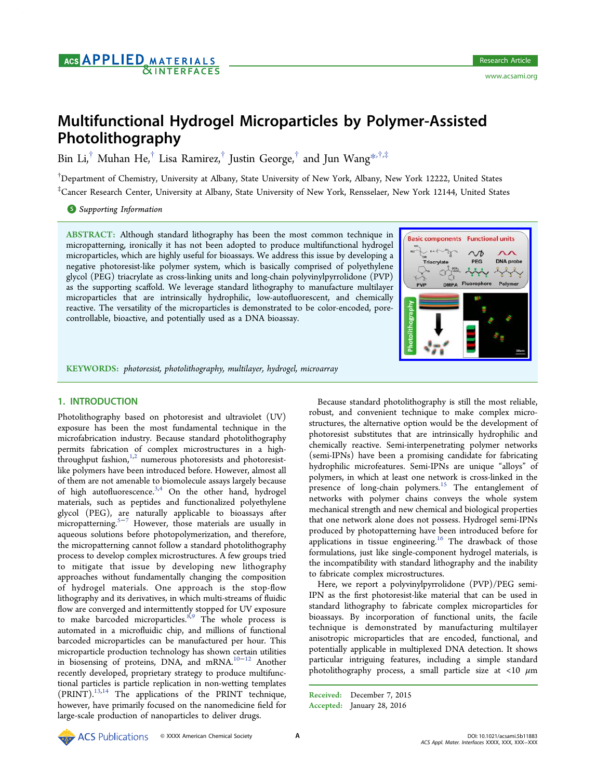# Multifunctional Hydrogel Microparticles by Polymer-Assisted Photolithography

Bin Li,<sup>†</sup> Muhan He,<sup>†</sup> Lisa Ramirez,<sup>†</sup> Justin George,<sup>†</sup> and Jun Wang<sup>\*\*,†</sup>,‡

† Department of Chemistry, University at Albany, State University of New York, Alb[any](#page-5-0), New York 12222, United States ‡ Cancer Research Center, University at Albany, State University of New York, Rensselaer, New York 12144, United States

## **S** Supporting Information

[AB](#page-5-0)STRACT: [Although stan](#page-5-0)dard lithography has been the most common technique in micropatterning, ironically it has not been adopted to produce multifunctional hydrogel microparticles, which are highly useful for bioassays. We address this issue by developing a negative photoresist-like polymer system, which is basically comprised of polyethylene glycol (PEG) triacrylate as cross-linking units and long-chain polyvinylpyrrolidone (PVP) as the supporting scaffold. We leverage standard lithography to manufacture multilayer microparticles that are intrinsically hydrophilic, low-autofluorescent, and chemically reactive. The versatility of the microparticles is demonstrated to be color-encoded, porecontrollable, bioactive, and potentially used as a DNA bioassay.



KEYWORDS: photoresist, photolithography, multilayer, hydrogel, microarray

# 1. INTRODUCTION

Photolithography based on photoresist and ultraviolet (UV) exposure has been the most fundamental technique in the microfabrication industry. Because standard photolithography permits fabrication of complex microstructures in a highthroughput fashion, $1,2}$  numerous photoresists and photoresistlike polymers have been introduced before. However, almost all of them are not am[ena](#page-6-0)ble to biomolecule assays largely because of high autofluorescence.<sup>3,4</sup> On the other hand, hydrogel materials, such as peptides and functionalized polyethylene glycol (PEG), are natu[rall](#page-6-0)y applicable to bioassays after micropatterning.<sup>5−7</sup> However, those materials are usually in aqueous solutions before photopolymerization, and therefore, the micropatter[ning](#page-6-0) cannot follow a standard photolithography process to develop complex microstructures. A few groups tried to mitigate that issue by developing new lithography approaches without fundamentally changing the composition of hydrogel materials. One approach is the stop-flow lithography and its derivatives, in which multi-streams of fluidic flow are converged and intermittently stopped for UV exposure to make barcoded microparticles.<sup>8,9</sup> The whole process is automated in a microfluidic chip, and millions of functional barcoded microparticles can be m[anu](#page-6-0)factured per hour. This microparticle production technology has shown certain utilities in biosensing of proteins, DNA, and mRNA.10−<sup>12</sup> Another recently developed, proprietary strategy to produce multifunctional particles is particle replication in non-we[tting](#page-6-0) templates (PRINT).13,14 The applications of the PRINT technique, however, have primarily focused on the nanomedicine field for large-scal[e pro](#page-6-0)duction of nanoparticles to deliver drugs.

Because standard photolithography is still the most reliable, robust, and convenient technique to make complex microstructures, the alternative option would be the development of photoresist substitutes that are intrinsically hydrophilic and chemically reactive. Semi-interpenetrating polymer networks (semi-IPNs) have been a promising candidate for fabricating hydrophilic microfeatures. Semi-IPNs are unique "alloys" of polymers, in which at least one network is cross-linked in the presence of long-chain polymers.<sup>15</sup> The entanglement of networks with polymer chains conveys the whole system mechanical strength and new chemi[cal](#page-6-0) and biological properties that one network alone does not possess. Hydrogel semi-IPNs produced by photopatterning have been introduced before for applications in tissue engineering.<sup>16</sup> The drawback of those formulations, just like single-component hydrogel materials, is the incompatibility with standard l[ith](#page-6-0)ography and the inability to fabricate complex microstructures.

Here, we report a polyvinylpyrrolidone (PVP)/PEG semi-IPN as the first photoresist-like material that can be used in standard lithography to fabricate complex microparticles for bioassays. By incorporation of functional units, the facile technique is demonstrated by manufacturing multilayer anisotropic microparticles that are encoded, functional, and potentially applicable in multiplexed DNA detection. It shows particular intriguing features, including a simple standard photolithography process, a small particle size at  $\langle 10 \mu m$ 

Received: December 7, 2015 Accepted: January 28, 2016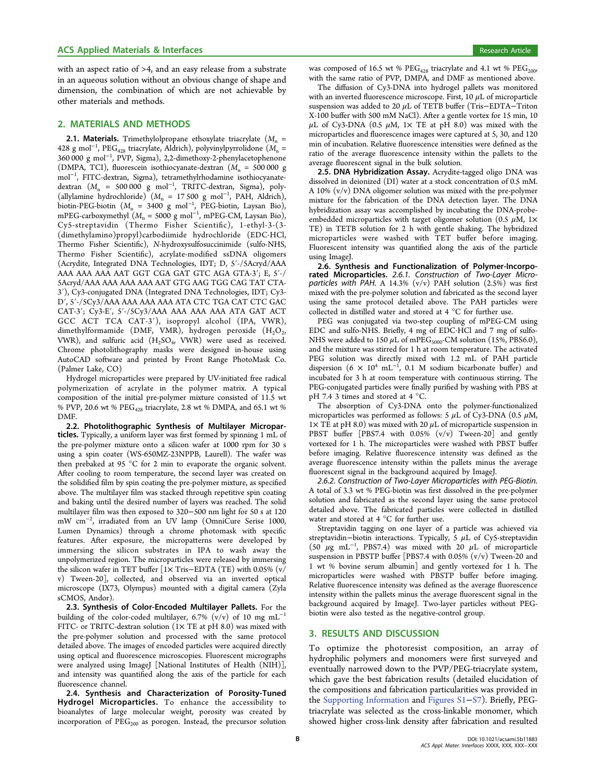with an aspect ratio of >4, and an easy release from a substrate in an aqueous solution without an obvious change of shape and dimension, the combination of which are not achievable by other materials and methods.

#### 2. MATERIALS AND METHODS

**2.1. Materials.** Trimethylolpropane ethoxylate triacrylate ( $M_n$  = 428 g mol<sup>−1</sup>, PEG<sub>428</sub> triacrylate, Aldrich), polyvinylpyrrolidone ( $M_n$  = 360 000 g mol<sup>−</sup><sup>1</sup> , PVP, Sigma), 2,2-dimethoxy-2-phenylacetophenone (DMPA, TCI), fluorescein isothiocyanate-dextran  $(M_n = 500000 \text{ g})$ mol<sup>−</sup><sup>1</sup> , FITC-dextran, Sigma), tetramethylrhodamine isothiocyanatedextran  $(M_n = 500000 \text{ g mol}^{-1}$ , TRITC-dextran, Sigma), poly-(allylamine hydrochloride)  $(M_n = 17500 \text{ g mol}^{-1}$ , PAH, Aldrich), biotin-PEG-biotin ( $M_n = 3400$  g mol<sup>-1</sup>, PEG-biotin, Laysan Bio), mPEG-carboxymethyl ( $M_n = 5000$  g mol<sup>-1</sup>, mPEG-CM, Laysan Bio), Cy5-streptavidin (Thermo Fisher Scientific), 1-ethyl-3-(3- (dimethylamino)propyl)carbodiimide hydrochloride (EDC·HCl, Thermo Fisher Scientific), N-hydroxysulfosuccinimide (sulfo-NHS, Thermo Fisher Scientific), acrylate-modified ssDNA oligomers (Acrydite, Integrated DNA Technologies, IDT; D, 5′-/5Acryd/AAA AAA AAA AAA AAT GGT CGA GAT GTC AGA GTA-3′; E, 5′-/ 5Acryd/AAA AAA AAA AAA AAT GTG AAG TGG CAG TAT CTA-3′), Cy3-conjugated DNA (Integrated DNA Technologies, IDT; Cy3- D′, 5′-/5Cy3/AAA AAA AAA AAA ATA CTC TGA CAT CTC GAC CAT-3′; Cy3-E′, 5′-/5Cy3/AAA AAA AAA AAA ATA GAT ACT GCC ACT TCA CAT-3′), isopropyl alcohol (IPA, VWR), dimethylformamide (DMF, VMR), hydrogen peroxide  $(H_2O_2)$ , VWR), and sulfuric acid  $(H_2SO_4, VWR)$  were used as received. Chrome photolithography masks were designed in-house using AutoCAD software and printed by Front Range PhotoMask Co. (Palmer Lake, CO)

Hydrogel microparticles were prepared by UV-initiated free radical polymerization of acrylate in the polymer matrix. A typical composition of the initial pre-polymer mixture consisted of 11.5 wt % PVP, 20.6 wt %  $\mathrm{PEG_{428}}$  triacrylate, 2.8 wt % DMPA, and 65.1 wt % DMF.

2.2. Photolithographic Synthesis of Multilayer Microparticles. Typically, a uniform layer was first formed by spinning 1 mL of the pre-polymer mixture onto a silicon wafer at 1000 rpm for 30 s using a spin coater (WS-650MZ-23NPPB, Laurell). The wafer was then prebaked at 95 °C for 2 min to evaporate the organic solvent. After cooling to room temperature, the second layer was created on the solidified film by spin coating the pre-polymer mixture, as specified above. The multilayer film was stacked through repetitive spin coating and baking until the desired number of layers was reached. The solid multilayer film was then exposed to 320−500 nm light for 50 s at 120 mW cm<sup>−</sup><sup>2</sup> , irradiated from an UV lamp (OmniCure Serise 1000, Lumen Dynamics) through a chrome photomask with specific features. After exposure, the micropatterns were developed by immersing the silicon substrates in IPA to wash away the unpolymerized region. The microparticles were released by immersing the silicon wafer in TET buffer [1× Tris−EDTA (TE) with 0.05% (v/ v) Tween-20], collected, and observed via an inverted optical microscope (IX73, Olympus) mounted with a digital camera (Zyla sCMOS, Andor).

2.3. Synthesis of Color-Encoded Multilayer Pallets. For the building of the color-coded multilayer, 6.7% (v/v) of 10 mg  $mL^{-1}$ FITC- or TRITC-dextran solution  $(1 \times$  TE at pH 8.0) was mixed with the pre-polymer solution and processed with the same protocol detailed above. The images of encoded particles were acquired directly using optical and fluorescence microscopies. Fluorescent micrographs were analyzed using ImageJ [National Institutes of Health (NIH)], and intensity was quantified along the axis of the particle for each fluorescence channel.

2.4. Synthesis and Characterization of Porosity-Tuned Hydrogel Microparticles. To enhance the accessibility to bioanalytes of large molecular weight, porosity was created by incorporation of  $PEG<sub>200</sub>$  as porogen. Instead, the precursor solution

was composed of 16.5 wt %  $\mathrm{PEG_{428}}$  triacrylate and 4.1 wt %  $\mathrm{PEG_{2009}}$ with the same ratio of PVP, DMPA, and DMF as mentioned above.

The diffusion of Cy3-DNA into hydrogel pallets was monitored with an inverted fluorescence microscope. First,  $10 \mu$ L of microparticle suspension was added to 20 μL of TETB buffer (Tris−EDTA−Triton X-100 buffer with 500 mM NaCl). After a gentle vortex for 15 min, 10  $\mu$ L of Cy3-DNA (0.5  $\mu$ M, 1× TE at pH 8.0) was mixed with the microparticles and fluorescence images were captured at 5, 30, and 120 min of incubation. Relative fluorescence intensities were defined as the ratio of the average fluorescence intensity within the pallets to the average fluorescent signal in the bulk solution.

2.5. DNA Hybridization Assay. Acrydite-tagged oligo DNA was dissolved in deionized (DI) water at a stock concentration of 0.5 mM. A 10% (v/v) DNA oligomer solution was mixed with the pre-polymer mixture for the fabrication of the DNA detection layer. The DNA hybridization assay was accomplished by incubating the DNA-probeembedded microparticles with target oligomer solution (0.5  $\mu$ M, 1× TE) in TETB solution for 2 h with gentle shaking. The hybridized microparticles were washed with TET buffer before imaging. Fluorescent intensity was quantified along the axis of the particle using ImageJ.

2.6. Synthesis and Functionalization of Polymer-Incorporated Microparticles. 2.6.1. Construction of Two-Layer Microparticles with PAH. A 14.3%  $(v/v)$  PAH solution  $(2.5%)$  was first mixed with the pre-polymer solution and fabricated as the second layer using the same protocol detailed above. The PAH particles were collected in distilled water and stored at 4 °C for further use.

PEG was conjugated via two-step coupling of mPEG-CM using EDC and sulfo-NHS. Briefly, 4 mg of EDC·HCl and 7 mg of sulfo-NHS were added to 150  $\mu$ L of mPEG<sub>5000</sub>-CM solution (15%, PBS6.0), and the mixture was stirred for 1 h at room temperature. The activated PEG solution was directly mixed with 1.2 mL of PAH particle dispersion  $(6 \times 10^4 \text{ mL}^{-1}$ , 0.1 M sodium bicarbonate buffer) and incubated for 3 h at room temperature with continuous stirring. The PEG-conjugated particles were finally purified by washing with PBS at pH 7.4 3 times and stored at 4 °C.

The absorption of Cy3-DNA onto the polymer-functionalized microparticles was performed as follows: 5  $\mu$ L of Cy3-DNA (0.5  $\mu$ M,  $1\times$  TE at pH 8.0) was mixed with 20  $\mu$ L of microparticle suspension in PBST buffer [PBS7.4 with 0.05% (v/v) Tween-20] and gently vortexed for 1 h. The microparticles were washed with PBST buffer before imaging. Relative fluorescence intensity was defined as the average fluorescence intensity within the pallets minus the average fluorescent signal in the background acquired by ImageJ.

2.6.2. Construction of Two-Layer Microparticles with PEG-Biotin. A total of 3.3 wt % PEG-biotin was first dissolved in the pre-polymer solution and fabricated as the second layer using the same protocol detailed above. The fabricated particles were collected in distilled water and stored at 4 °C for further use.

Streptavidin tagging on one layer of a particle was achieved via streptavidin−biotin interactions. Typically, 5 μL of Cy5-streptavidin (50  $\mu$ g mL<sup>-1</sup>, PBS7.4) was mixed with 20  $\mu$ L of microparticle suspension in PBSTP buffer [PBS7.4 with 0.05% (v/v) Tween-20 and 1 wt % bovine serum albumin] and gently vortexed for 1 h. The microparticles were washed with PBSTP buffer before imaging. Relative fluorescence intensity was defined as the average fluorescence intensity within the pallets minus the average fluorescent signal in the background acquired by ImageJ. Two-layer particles without PEGbiotin were also tested as the negative-control group.

## 3. RESULTS AND DISCUSSION

To optimize the photoresist composition, an array of hydrophilic polymers and monomers were first surveyed and eventually narrowed down to the PVP/PEG-triacrylate system, which gave the best fabrication results (detailed elucidation of the compositions and fabrication particularities was provided in the Supporting Information and Figures S1−S7). Briefly, PEGtriacrylate was selected as the cross-linkable monomer, which sho[wed higher cross-link de](http://pubs.acs.org/doi/suppl/10.1021/acsami.5b11883/suppl_file/am5b11883_si_001.pdf)nsit[y after fabri](http://pubs.acs.org/doi/suppl/10.1021/acsami.5b11883/suppl_file/am5b11883_si_001.pdf)c[atio](http://pubs.acs.org/doi/suppl/10.1021/acsami.5b11883/suppl_file/am5b11883_si_001.pdf)n and resulted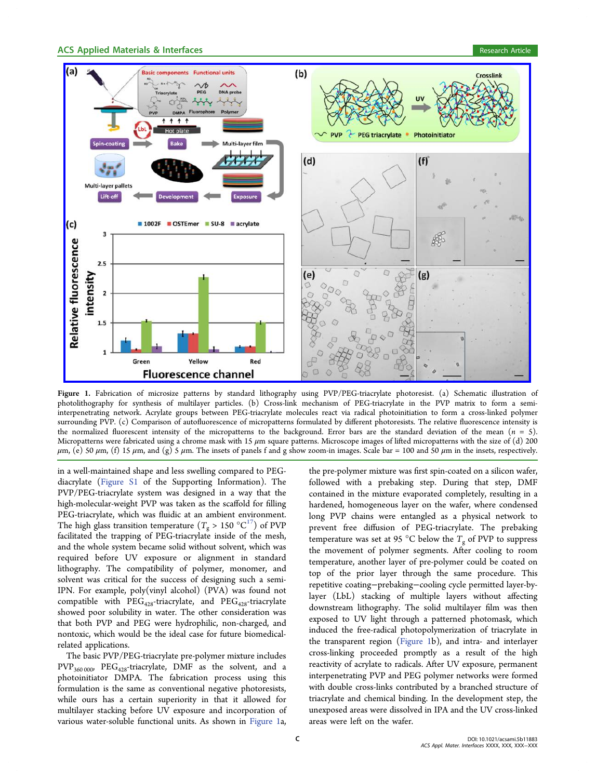<span id="page-2-0"></span>

Figure 1. [Fabrication of microsize patterns by standard lithography using PVP/PEG-triacrylate photoresist. \(a\) Schematic illustration](http://pubsdc3.acs.org/action/showImage?doi=10.1021/acsami.5b11883&iName=master.img-001.jpg&w=485&h=330) of photolithography for synthesis of multilayer particles. (b) Cross-link mechanism of PEG-triacrylate in the PVP matrix to form a semiinterpenetrating network. Acrylate groups between PEG-triacrylate molecules react via radical photoinitiation to form a cross-linked polymer surrounding PVP. (c) Comparison of autofluorescence of micropatterns formulated by different photoresists. The relative fluorescence intensity is the normalized fluorescent intensity of the micropatterns to the background. Error bars are the standard deviation of the mean ( $n = 5$ ). Micropatterns were fabricated using a chrome mask with 15  $\mu$ m square patterns. Microscope images of lifted micropatterns with the size of (d) 200  $μ$ m, (e) 50  $μ$ m, (f) 15  $μ$ m, and (g) 5  $μ$ m. The insets of panels f and g show zoom-in images. Scale bar = 100 and 50  $μ$ m in the insets, respectively.

in a well-maintained shape and less swelling compared to PEGdiacrylate (Figure S1 of the Supporting Information). The PVP/PEG-triacrylate system was designed in a way that the high-molec[ular-weight](http://pubs.acs.org/doi/suppl/10.1021/acsami.5b11883/suppl_file/am5b11883_si_001.pdf) PVP was taken as the scaffold for filling PEG-triacrylate, which was fluidic at an ambient environment. The high glass transition temperature  $(T_g > 150 \degree C^{17})$  of PVP facilitated the trapping of PEG-triacrylate inside of the mesh, and the whole system became solid without solvent, [w](#page-6-0)hich was required before UV exposure or alignment in standard lithography. The compatibility of polymer, monomer, and solvent was critical for the success of designing such a semi-IPN. For example, poly(vinyl alcohol) (PVA) was found not compatible with  $PEG_{428}$ -triacrylate, and  $PEG_{428}$ -triacrylate showed poor solubility in water. The other consideration was that both PVP and PEG were hydrophilic, non-charged, and nontoxic, which would be the ideal case for future biomedicalrelated applications.

The basic PVP/PEG-triacrylate pre-polymer mixture includes PVP<sub>360 000</sub>, PEG<sub>428</sub>-triacrylate, DMF as the solvent, and a photoinitiator DMPA. The fabrication process using this formulation is the same as conventional negative photoresists, while ours has a certain superiority in that it allowed for multilayer stacking before UV exposure and incorporation of various water-soluble functional units. As shown in Figure 1a,

the pre-polymer mixture was first spin-coated on a silicon wafer, followed with a prebaking step. During that step, DMF contained in the mixture evaporated completely, resulting in a hardened, homogeneous layer on the wafer, where condensed long PVP chains were entangled as a physical network to prevent free diffusion of PEG-triacrylate. The prebaking temperature was set at 95 °C below the  $T_{\sigma}$  of PVP to suppress the movement of polymer segments. After cooling to room temperature, another layer of pre-polymer could be coated on top of the prior layer through the same procedure. This repetitive coating−prebaking−cooling cycle permitted layer-bylayer (LbL) stacking of multiple layers without affecting downstream lithography. The solid multilayer film was then exposed to UV light through a patterned photomask, which induced the free-radical photopolymerization of triacrylate in the transparent region (Figure 1b), and intra- and interlayer cross-linking proceeded promptly as a result of the high reactivity of acrylate to radicals. After UV exposure, permanent interpenetrating PVP and PEG polymer networks were formed with double cross-links contributed by a branched structure of triacrylate and chemical binding. In the development step, the unexposed areas were dissolved in IPA and the UV cross-linked areas were left on the wafer.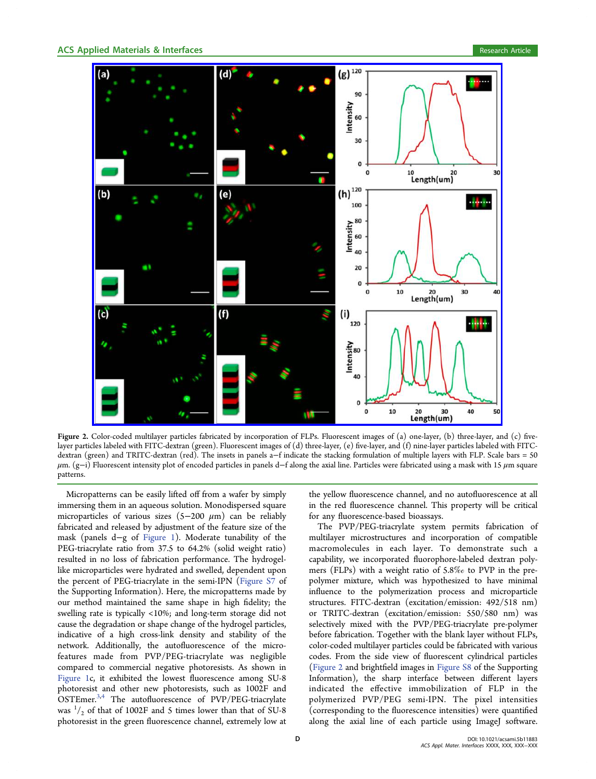<span id="page-3-0"></span>

Figure 2. [Color-coded multilayer particles fabricated by incorporation of FLPs. Fluorescent images of \(a\) one-layer, \(b\) three-layer, an](http://pubsdc3.acs.org/action/showImage?doi=10.1021/acsami.5b11883&iName=master.img-002.jpg&w=425&h=375)d (c) fivelayer particles labeled with FITC-dextran (green). Fluorescent images of (d) three-layer, (e) five-layer, and (f) nine-layer particles labeled with FITCdextran (green) and TRITC-dextran (red). The insets in panels a−f indicate the stacking formulation of multiple layers with FLP. Scale bars = 50  $μ$ m. (g-i) Fluorescent intensity plot of encoded particles in panels d–f along the axial line. Particles were fabricated using a mask with 15  $μ$ m square patterns.

Micropatterns can be easily lifted off from a wafer by simply immersing them in an aqueous solution. Monodispersed square microparticles of various sizes  $(5-200 \mu m)$  can be reliably fabricated and released by adjustment of the feature size of the mask (panels d−g of Figure 1). Moderate tunability of the PEG-triacrylate ratio from 37.5 to 64.2% (solid weight ratio) resulted in no loss of [fabrication](#page-2-0) performance. The hydrogellike microparticles were hydrated and swelled, dependent upon the percent of PEG-triacrylate in the semi-IPN (Figure S7 of the Supporting Information). Here, the micropatterns made by our method maintained the same shape in high fi[delity; t](http://pubs.acs.org/doi/suppl/10.1021/acsami.5b11883/suppl_file/am5b11883_si_001.pdf)he swelling rate is typically <10%; and long-term storage did not cause the degradation or shape change of the hydrogel particles, indicative of a high cross-link density and stability of the network. Additionally, the autofluorescence of the microfeatures made from PVP/PEG-triacrylate was negligible compared to commercial negative photoresists. As shown in Figure 1c, it exhibited the lowest fluorescence among SU-8 photoresist and other new photoresists, such as 1002F and [OSTEme](#page-2-0)r.<sup>3,4</sup> The autofluorescence of PVP/PEG-triacrylate was  $\frac{1}{2}$  of that of 1002F and 5 times lower than that of SU-8 photoresis[t in](#page-6-0) the green fluorescence channel, extremely low at

the yellow fluorescence channel, and no autofluorescence at all in the red fluorescence channel. This property will be critical for any fluorescence-based bioassays.

The PVP/PEG-triacrylate system permits fabrication of multilayer microstructures and incorporation of compatible macromolecules in each layer. To demonstrate such a capability, we incorporated fluorophore-labeled dextran polymers (FLPs) with a weight ratio of 5.8‰ to PVP in the prepolymer mixture, which was hypothesized to have minimal influence to the polymerization process and microparticle structures. FITC-dextran (excitation/emission: 492/518 nm) or TRITC-dextran (excitation/emission: 550/580 nm) was selectively mixed with the PVP/PEG-triacrylate pre-polymer before fabrication. Together with the blank layer without FLPs, color-coded multilayer particles could be fabricated with various codes. From the side view of fluorescent cylindrical particles (Figure 2 and brightfield images in Figure S8 of the Supporting Information), the sharp interface between different layers indicated the effective immob[ilization](http://pubs.acs.org/doi/suppl/10.1021/acsami.5b11883/suppl_file/am5b11883_si_001.pdf) of FLP in the polymerized PVP/PEG semi-IPN. The pixel intensities (corresponding to the fluorescence intensities) were quantified along the axial line of each particle using ImageJ software.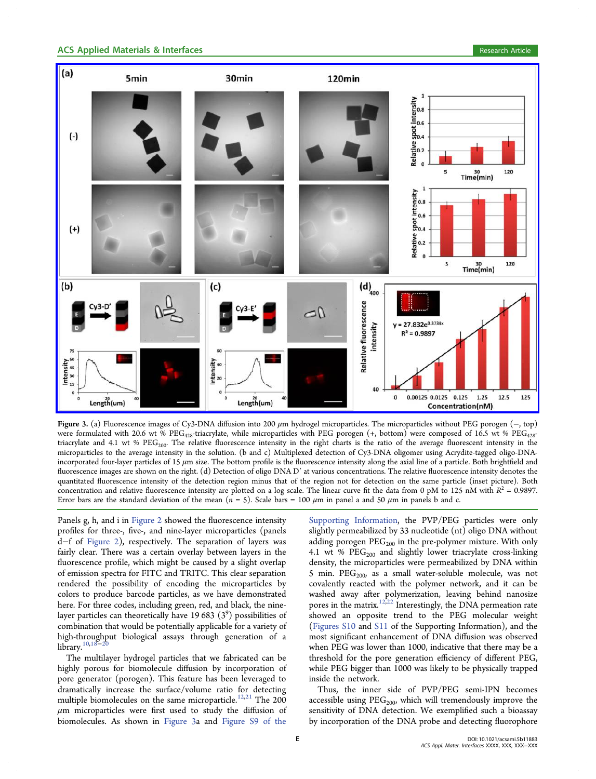<span id="page-4-0"></span>

Figure 3. (a) Fluorescence images of Cy3-DNA diffusion into 200 μm hydrogel microparticles. The microparticles without PEG porogen (−, top) were formulated with 20.6 wt % PEG<sub>428</sub>-triacrylate, while microparticles with PEG porogen (+, bottom) were composed of 16.5 wt % PEG<sub>428</sub>triacrylate and 4.1 wt %  $\text{PEG}_{200}$ . The relative fluorescence intensity in the right charts is the ratio of the average fluorescent intensity in the microparticles to the average intensity in the solution. (b and c) Multiplexed detection of Cy3-DNA oligomer using Acrydite-tagged oligo-DNAincorporated four-layer particles of 15  $\mu$ m size. The bottom profile is the fluorescence intensity along the axial line of a particle. Both brightfield and fluorescence images are shown on the right. (d) Detection of oligo DNA D' at various concentrations. The relative fluorescence intensity denotes the quantitated fluorescence intensity of the detection region minus that of the region not for detection on the same particle (inset picture). Both concentration and relative fluorescence intensity are plotted on a log scale. The linear curve fit the data from 0 pM to 125 nM with  $R^2 = 0.9897$ . Error bars are the standard deviation of the mean  $(n = 5)$ . Scale bars = 100  $\mu$ m in panel a and 50  $\mu$ m in panels b and c.

Panels g, h, and i in Figure 2 showed the fluorescence intensity profiles for three-, five-, and nine-layer microparticles (panels d−f of Figure 2), [respective](#page-3-0)ly. The separation of layers was fairly clear. There was a certain overlay between layers in the fluoresc[ence pro](#page-3-0)file, which might be caused by a slight overlap of emission spectra for FITC and TRITC. This clear separation rendered the possibility of encoding the microparticles by colors to produce barcode particles, as we have demonstrated here. For three codes, including green, red, and black, the ninelayer particles can theoretically have 19 683  $(3^9)$  possibilities of combination that would be potentially applicable for a variety of high-throughput biological assays through generation of a library. $10,18$ 

The multilayer hydrogel particles that we fabricated can be highly [porous](#page-6-0) for biomolecule diffusion by incorporation of pore generator (porogen). This feature has been leveraged to dramatically increase the surface/volume ratio for detecting multiple biomolecules on the same microparticle.<sup>12,21</sup> The 200  $\mu$ m microparticles were first used to study the diffusion of biomolecules. As shown in Figure 3a and Fig[ure S](#page-6-0)9 of the

Supporting Information, the PVP/PEG particles were only slightly permeabilized by 33 nucleotide (nt) oligo DNA without adding porogen  $PEG_{200}$  in the pre-polymer mixture. With only 4.1 wt %  $\mathrm{PEG}_{200}$  and slightly lower triacrylate cross-linking density, the microparticles were permeabilized by DNA within 5 min.  $PEG_{200}$  as a small water-soluble molecule, was not covalently reacted with the polymer network, and it can be washed away after polymerization, leaving behind nanosize pores in the matrix.<sup>12,22</sup> Interestingly, the DNA permeation rate showed an opposite trend to the PEG molecular weight (Figures S10 and [S11](#page-6-0) [o](#page-6-0)f the Supporting Information), and the most significant enhancement of DNA diffusion was observed [when PEG w](http://pubs.acs.org/doi/suppl/10.1021/acsami.5b11883/suppl_file/am5b11883_si_001.pdf)as lo[wer](http://pubs.acs.org/doi/suppl/10.1021/acsami.5b11883/suppl_file/am5b11883_si_001.pdf) than 1000, indicative that there may be a threshold for the pore generation efficiency of different PEG, while PEG bigger than 1000 was likely to be physically trapped inside the network.

Thus, the inner side of PVP/PEG semi-IPN becomes accessible using  $PEG<sub>200</sub>$ , which will tremendously improve the sensitivity of DNA detection. We exemplified such a bioassay by incorporation of the DNA probe and detecting fluorophore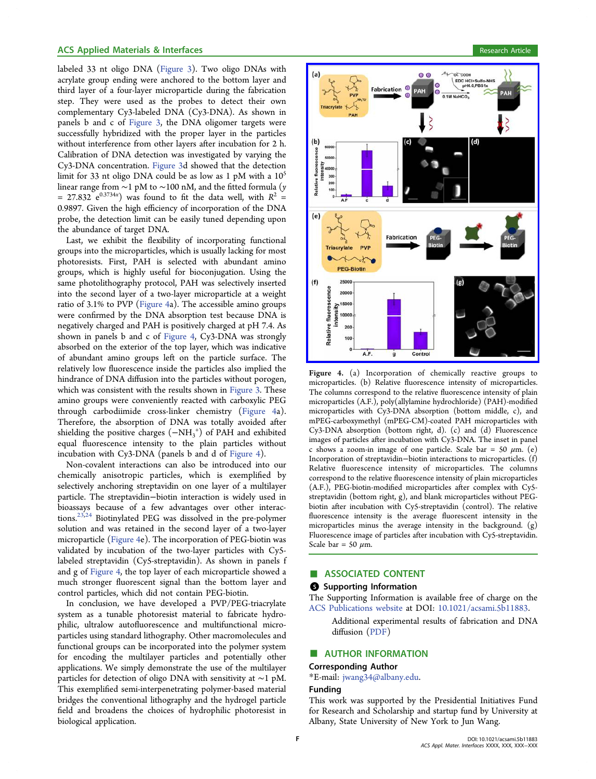## <span id="page-5-0"></span>ACS Applied Materials & Interfaces **Research Article** Research Article

labeled 33 nt oligo DNA (Figure 3). Two oligo DNAs with acrylate group ending were anchored to the bottom layer and third layer of a four-layer [microparti](#page-4-0)cle during the fabrication step. They were used as the probes to detect their own complementary Cy3-labeled DNA (Cy3-DNA). As shown in panels b and c of Figure 3, the DNA oligomer targets were successfully hybridized with the proper layer in the particles without interferenc[e from ot](#page-4-0)her layers after incubation for 2 h. Calibration of DNA detection was investigated by varying the Cy3-DNA concentration. Figure 3d showed that the detection limit for 33 nt oligo DNA could be as low as 1 pM with a  $10^5$ linear range from ∼1 pM to ∼[100 n](#page-4-0)M, and the fitted formula (y = 27.832  $e^{0.3734x}$ ) was found to fit the data well, with  $R^2$  = 0.9897. Given the high efficiency of incorporation of the DNA probe, the detection limit can be easily tuned depending upon the abundance of target DNA.

Last, we exhibit the flexibility of incorporating functional groups into the microparticles, which is usually lacking for most photoresists. First, PAH is selected with abundant amino groups, which is highly useful for bioconjugation. Using the same photolithography protocol, PAH was selectively inserted into the second layer of a two-layer microparticle at a weight ratio of 3.1% to PVP (Figure 4a). The accessible amino groups were confirmed by the DNA absorption test because DNA is negatively charged and PAH is positively charged at pH 7.4. As shown in panels b and c of Figure 4, Cy3-DNA was strongly absorbed on the exterior of the top layer, which was indicative of abundant amino groups left on the particle surface. The relatively low fluorescence inside the particles also implied the hindrance of DNA diffusion into the particles without porogen, which was consistent with the results shown in Figure 3. These amino groups were conveniently reacted with carboxylic PEG through carbodiimide cross-linker chemistr[y \(Figur](#page-4-0)e 4a). Therefore, the absorption of DNA was totally avoided after shielding the positive charges  $(-NH_3^+)$  of PAH and exhibited equal fluorescence intensity to the plain particles without incubation with Cy3-DNA (panels b and d of Figure 4).

Non-covalent interactions can also be introduced into our chemically anisotropic particles, which is exemplified by selectively anchoring streptavidin on one layer of a multilayer particle. The streptavidin−biotin interaction is widely used in bioassays because of a few advantages over other interactions.23,24 Biotinylated PEG was dissolved in the pre-polymer solution and was retained in the second layer of a two-layer micr[opart](#page-6-0)icle (Figure 4e). The incorporation of PEG-biotin was validated by incubation of the two-layer particles with Cy5 labeled streptavidin (Cy5-streptavidin). As shown in panels f and g of Figure 4, the top layer of each microparticle showed a much stronger fluorescent signal than the bottom layer and control particles, which did not contain PEG-biotin.

In conclusion, we have developed a PVP/PEG-triacrylate system as a tunable photoresist material to fabricate hydrophilic, ultralow autofluorescence and multifunctional microparticles using standard lithography. Other macromolecules and functional groups can be incorporated into the polymer system for encoding the multilayer particles and potentially other applications. We simply demonstrate the use of the multilayer particles for detection of oligo DNA with sensitivity at ∼1 pM. This exemplified semi-interpenetrating polymer-based material bridges the conventional lithography and the hydrogel particle field and broadens the choices of hydrophilic photoresist in biological application.



Figure 4. [\(a\) Incorporation of chemically reactive groups to](http://pubsdc3.acs.org/action/showImage?doi=10.1021/acsami.5b11883&iName=master.img-004.jpg&w=239&h=309) microparticles. (b) Relative fluorescence intensity of microparticles. The columns correspond to the relative fluorescence intensity of plain microparticles (A.F.), poly(allylamine hydrochloride) (PAH)-modified microparticles with Cy3-DNA absorption (bottom middle, c), and mPEG-carboxymethyl (mPEG-CM)-coated PAH microparticles with Cy3-DNA absorption (bottom right, d). (c) and (d) Fluorescence images of particles after incubation with Cy3-DNA. The inset in panel c shows a zoom-in image of one particle. Scale bar = 50  $\mu$ m. (e) Incorporation of streptavidin−biotin interactions to microparticles. (f) Relative fluorescence intensity of microparticles. The columns correspond to the relative fluorescence intensity of plain microparticles (A.F.), PEG-biotin-modified microparticles after complex with Cy5 streptavidin (bottom right, g), and blank microparticles without PEGbiotin after incubation with Cy5-streptavidin (control). The relative fluorescence intensity is the average fluorescent intensity in the microparticles minus the average intensity in the background. (g) Fluorescence image of particles after incubation with Cy5-streptavidin. Scale bar = 50  $\mu$ m.

## ■ ASSOCIATED CONTENT

## **6** Supporting Information

The Supporting Information is available free of charge on the ACS Publications website at DOI: 10.1021/acsami.5b11883.

Additional experimental results of fabrication and DNA diff[usion \(PDF\)](http://pubs.acs.org)

#### ■ AUTHOR I[NFOR](http://pubs.acs.org/doi/suppl/10.1021/acsami.5b11883/suppl_file/am5b11883_si_001.pdf)MATION

#### Corresponding Author

\*E-mail: jwang34@albany.edu.

# Funding

This wor[k was supported by](mailto:jwang34@albany.edu) the Presidential Initiatives Fund for Research and Scholarship and startup fund by University at Albany, State University of New York to Jun Wang.